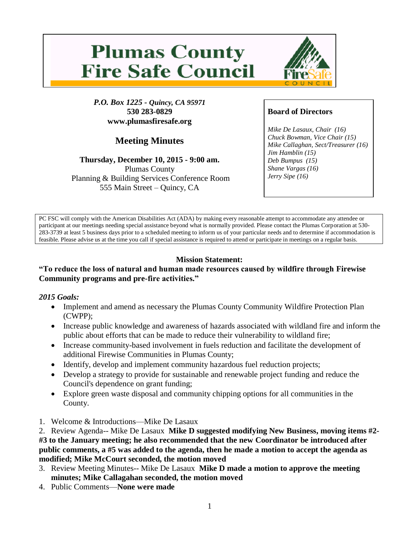# **Plumas County Fire Safe Council**



*P.O. Box 1225 - Quincy, CA 95971* **530 283-0829 www.plumasfiresafe.org**

# **Meeting Minutes**

#### **Thursday, December 10, 2015 - 9:00 am.** Plumas County

Planning & Building Services Conference Room 555 Main Street – Quincy, CA

# **Board of Directors**

*Mike De Lasaux, Chair (16) Chuck Bowman, Vice Chair (15) Mike Callaghan, Sect/Treasurer (16) Jim Hamblin (15) Deb Bumpus (15) Shane Vargas (16) Jerry Sipe (16)* 

PC FSC will comply with the American Disabilities Act (ADA) by making every reasonable attempt to accommodate any attendee or participant at our meetings needing special assistance beyond what is normally provided. Please contact the Plumas Corporation at 530- 283-3739 at least 5 business days prior to a scheduled meeting to inform us of your particular needs and to determine if accommodation is feasible. Please advise us at the time you call if special assistance is required to attend or participate in meetings on a regular basis.

# **Mission Statement:**

# **"To reduce the loss of natural and human made resources caused by wildfire through Firewise Community programs and pre-fire activities."**

# *2015 Goals:*

- Implement and amend as necessary the Plumas County Community Wildfire Protection Plan (CWPP);
- Increase public knowledge and awareness of hazards associated with wildland fire and inform the public about efforts that can be made to reduce their vulnerability to wildland fire;
- Increase community-based involvement in fuels reduction and facilitate the development of additional Firewise Communities in Plumas County;
- Identify, develop and implement community hazardous fuel reduction projects;
- Develop a strategy to provide for sustainable and renewable project funding and reduce the Council's dependence on grant funding;
- Explore green waste disposal and community chipping options for all communities in the County.
- 1. Welcome & Introductions—Mike De Lasaux

2. Review Agenda-- Mike De Lasaux **Mike D suggested modifying New Business, moving items #2- #3 to the January meeting; he also recommended that the new Coordinator be introduced after public comments, a #5 was added to the agenda, then he made a motion to accept the agenda as modified; Mike McCourt seconded, the motion moved**

- 3. Review Meeting Minutes-- Mike De Lasaux **Mike D made a motion to approve the meeting minutes; Mike Callagahan seconded, the motion moved**
- 4. Public Comments—**None were made**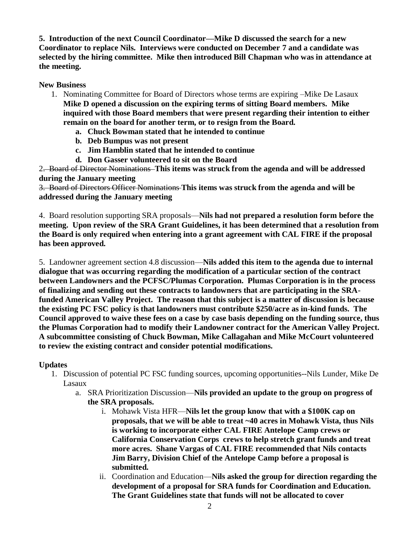**5. Introduction of the next Council Coordinator—Mike D discussed the search for a new Coordinator to replace Nils. Interviews were conducted on December 7 and a candidate was selected by the hiring committee. Mike then introduced Bill Chapman who was in attendance at the meeting.**

#### **New Business**

- 1. Nominating Committee for Board of Directors whose terms are expiring –Mike De Lasaux **Mike D opened a discussion on the expiring terms of sitting Board members. Mike inquired with those Board members that were present regarding their intention to either remain on the board for another term, or to resign from the Board.** 
	- **a. Chuck Bowman stated that he intended to continue**
	- **b. Deb Bumpus was not present**
	- **c. Jim Hamblin stated that he intended to continue**
	- **d. Don Gasser volunteered to sit on the Board**

2. Board of Director Nominations **This items was struck from the agenda and will be addressed during the January meeting**

3. Board of Directors Officer Nominations **This items was struck from the agenda and will be addressed during the January meeting**

4. Board resolution supporting SRA proposals—**Nils had not prepared a resolution form before the meeting. Upon review of the SRA Grant Guidelines, it has been determined that a resolution from the Board is only required when entering into a grant agreement with CAL FIRE if the proposal has been approved.**

5. Landowner agreement section 4.8 discussion—**Nils added this item to the agenda due to internal dialogue that was occurring regarding the modification of a particular section of the contract between Landowners and the PCFSC/Plumas Corporation. Plumas Corporation is in the process of finalizing and sending out these contracts to landowners that are participating in the SRAfunded American Valley Project. The reason that this subject is a matter of discussion is because the existing PC FSC policy is that landowners must contribute \$250/acre as in-kind funds. The Council approved to waive these fees on a case by case basis depending on the funding source, thus the Plumas Corporation had to modify their Landowner contract for the American Valley Project. A subcommittee consisting of Chuck Bowman, Mike Callagahan and Mike McCourt volunteered to review the existing contract and consider potential modifications.** 

#### **Updates**

- 1. Discussion of potential PC FSC funding sources, upcoming opportunities--Nils Lunder, Mike De Lasaux
	- a. SRA Prioritization Discussion—**Nils provided an update to the group on progress of the SRA proposals.**
		- i. Mohawk Vista HFR—**Nils let the group know that with a \$100K cap on proposals, that we will be able to treat ~40 acres in Mohawk Vista, thus Nils is working to incorporate either CAL FIRE Antelope Camp crews or California Conservation Corps crews to help stretch grant funds and treat more acres. Shane Vargas of CAL FIRE recommended that Nils contacts Jim Barry, Division Chief of the Antelope Camp before a proposal is submitted.**
		- ii. Coordination and Education—**Nils asked the group for direction regarding the development of a proposal for SRA funds for Coordination and Education. The Grant Guidelines state that funds will not be allocated to cover**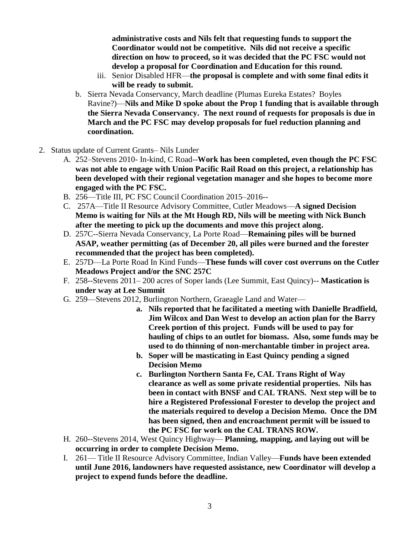**administrative costs and Nils felt that requesting funds to support the Coordinator would not be competitive. Nils did not receive a specific direction on how to proceed, so it was decided that the PC FSC would not develop a proposal for Coordination and Education for this round.**

- iii. Senior Disabled HFR—**the proposal is complete and with some final edits it will be ready to submit.**
- b. Sierra Nevada Conservancy, March deadline (Plumas Eureka Estates? Boyles Ravine?)—**Nils and Mike D spoke about the Prop 1 funding that is available through the Sierra Nevada Conservancy. The next round of requests for proposals is due in March and the PC FSC may develop proposals for fuel reduction planning and coordination.**
- 2. Status update of Current Grants– Nils Lunder
	- A. 252–Stevens 2010- In-kind, C Road--**Work has been completed, even though the PC FSC was not able to engage with Union Pacific Rail Road on this project, a relationship has been developed with their regional vegetation manager and she hopes to become more engaged with the PC FSC.**
	- B. 256—Title III, PC FSC Council Coordination 2015–2016--
	- C. 257A—Title II Resource Advisory Committee, Cutler Meadows—**A signed Decision Memo is waiting for Nils at the Mt Hough RD, Nils will be meeting with Nick Bunch after the meeting to pick up the documents and move this project along.**
	- D. 257C--Sierra Nevada Conservancy, La Porte Road—**Remaining piles will be burned ASAP, weather permitting (as of December 20, all piles were burned and the forester recommended that the project has been completed).**
	- E. 257D—La Porte Road In Kind Funds—**These funds will cover cost overruns on the Cutler Meadows Project and/or the SNC 257C**
	- F. 258--Stevens 2011– 200 acres of Soper lands (Lee Summit, East Quincy)-- **Mastication is under way at Lee Summit**
	- G. 259—Stevens 2012, Burlington Northern, Graeagle Land and Water
		- **a. Nils reported that he facilitated a meeting with Danielle Bradfield, Jim Wilcox and Dan West to develop an action plan for the Barry Creek portion of this project. Funds will be used to pay for hauling of chips to an outlet for biomass. Also, some funds may be used to do thinning of non-merchantable timber in project area.**
		- **b. Soper will be masticating in East Quincy pending a signed Decision Memo**
		- **c. Burlington Northern Santa Fe, CAL Trans Right of Way clearance as well as some private residential properties. Nils has been in contact with BNSF and CAL TRANS. Next step will be to hire a Registered Professional Forester to develop the project and the materials required to develop a Decision Memo. Once the DM has been signed, then and encroachment permit will be issued to the PC FSC for work on the CAL TRANS ROW.**
	- H. 260--Stevens 2014, West Quincy Highway— **Planning, mapping, and laying out will be occurring in order to complete Decision Memo.**
	- I. 261— Title II Resource Advisory Committee, Indian Valley—**Funds have been extended until June 2016, landowners have requested assistance, new Coordinator will develop a project to expend funds before the deadline.**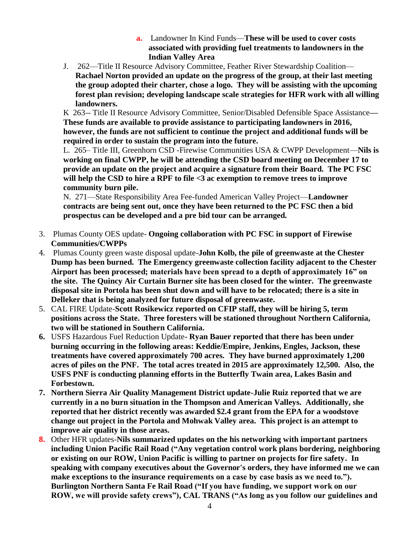- **a.** Landowner In Kind Funds—**These will be used to cover costs associated with providing fuel treatments to landowners in the Indian Valley Area**
- J. 262—Title II Resource Advisory Committee, Feather River Stewardship Coalition— **Rachael Norton provided an update on the progress of the group, at their last meeting the group adopted their charter, chose a logo. They will be assisting with the upcoming forest plan revision; developing landscape scale strategies for HFR work with all willing landowners.**

K 263-- Title II Resource Advisory Committee, Senior/Disabled Defensible Space Assistance**— These funds are available to provide assistance to participating landowners in 2016, however, the funds are not sufficient to continue the project and additional funds will be required in order to sustain the program into the future.**

L. 265– Title III, Greenhorn CSD -Firewise Communities USA & CWPP Development—**Nils is working on final CWPP, he will be attending the CSD board meeting on December 17 to provide an update on the project and acquire a signature from their Board. The PC FSC will help the CSD to hire a RPF to file <3 ac exemption to remove trees to improve community burn pile.**

N. 271—State Responsibility Area Fee-funded American Valley Project—**Landowner contracts are being sent out, once they have been returned to the PC FSC then a bid prospectus can be developed and a pre bid tour can be arranged.**

- 3. Plumas County OES update- **Ongoing collaboration with PC FSC in support of Firewise Communities/CWPPs**
- 4. Plumas County green waste disposal update-**John Kolb, the pile of greenwaste at the Chester Dump has been burned. The Emergency greenwaste collection facility adjacent to the Chester Airport has been processed; materials have been spread to a depth of approximately 16" on the site. The Quincy Air Curtain Burner site has been closed for the winter. The greenwaste disposal site in Portola has been shut down and will have to be relocated; there is a site in Delleker that is being analyzed for future disposal of greenwaste.**
- 5. CAL FIRE Update-**Scott Rosikewicz reported on CFIP staff, they will be hiring 5, term positions across the State. Three foresters will be stationed throughout Northern California, two will be stationed in Southern California.**
- **6.** USFS Hazardous Fuel Reduction Update**- Ryan Bauer reported that there has been under burning occurring in the following areas: Keddie/Empire, Jenkins, Engles, Jackson, these treatments have covered approximately 700 acres. They have burned approximately 1,200 acres of piles on the PNF. The total acres treated in 2015 are approximately 12,500. Also, the USFS PNF is conducting planning efforts in the Butterfly Twain area, Lakes Basin and Forbestown.**
- **7. Northern Sierra Air Quality Management District update-Julie Ruiz reported that we are currently in a no burn situation in the Thompson and American Valleys. Additionally, she reported that her district recently was awarded \$2.4 grant from the EPA for a woodstove change out project in the Portola and Mohwak Valley area. This project is an attempt to improve air quality in those areas.**
- **8.** Other HFR updates-**Nils summarized updates on the his networking with important partners including Union Pacific Rail Road ("Any vegetation control work plans bordering, neighboring or existing on our ROW, Union Pacific is willing to partner on projects for fire safety. In speaking with company executives about the Governor's orders, they have informed me we can make exceptions to the insurance requirements on a case by case basis as we need to."). Burlington Northern Santa Fe Rail Road ("If you have funding, we support work on our ROW, we will provide safety crews"), CAL TRANS ("As long as you follow our guidelines and**